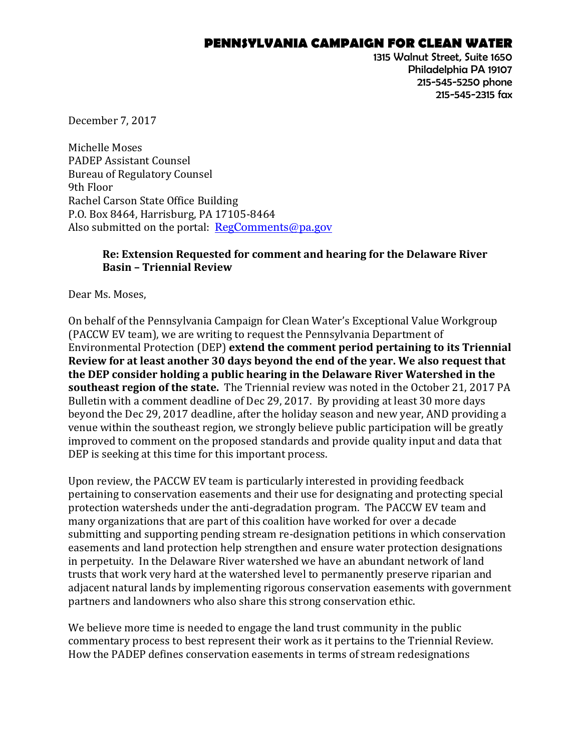## **PENNSYLVANIA CAMPAIGN FOR CLEAN WATER**

1315 Walnut Street, Suite 1650 Philadelphia PA 19107 215-545-5250 phone 215-545-2315 fax

December 7, 2017

Michelle Moses PADEP Assistant Counsel Bureau of Regulatory Counsel 9th Floor Rachel Carson State Office Building P.O. Box 8464, Harrisburg, PA 17105-8464 Also submitted on the portal: [RegComments@pa.gov](mailto:RegComments@pa.gov)

## **Re: Extension Requested for comment and hearing for the Delaware River Basin – Triennial Review**

Dear Ms. Moses,

On behalf of the Pennsylvania Campaign for Clean Water's Exceptional Value Workgroup (PACCW EV team), we are writing to request the Pennsylvania Department of Environmental Protection (DEP) **extend the comment period pertaining to its Triennial Review for at least another 30 days beyond the end of the year. We also request that the DEP consider holding a public hearing in the Delaware River Watershed in the southeast region of the state.** The Triennial review was noted in the October 21, 2017 PA Bulletin with a comment deadline of Dec 29, 2017. By providing at least 30 more days beyond the Dec 29, 2017 deadline, after the holiday season and new year, AND providing a venue within the southeast region, we strongly believe public participation will be greatly improved to comment on the proposed standards and provide quality input and data that DEP is seeking at this time for this important process.

Upon review, the PACCW EV team is particularly interested in providing feedback pertaining to conservation easements and their use for designating and protecting special protection watersheds under the anti-degradation program. The PACCW EV team and many organizations that are part of this coalition have worked for over a decade submitting and supporting pending stream re-designation petitions in which conservation easements and land protection help strengthen and ensure water protection designations in perpetuity. In the Delaware River watershed we have an abundant network of land trusts that work very hard at the watershed level to permanently preserve riparian and adjacent natural lands by implementing rigorous conservation easements with government partners and landowners who also share this strong conservation ethic.

We believe more time is needed to engage the land trust community in the public commentary process to best represent their work as it pertains to the Triennial Review. How the PADEP defines conservation easements in terms of stream redesignations